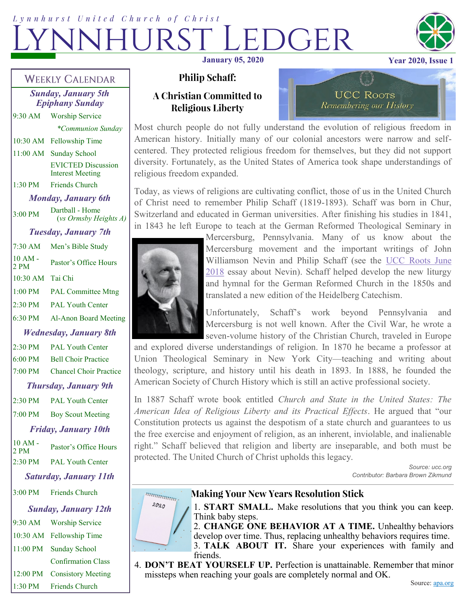# Lynnhurst United Church of Christ  $DGER$ **January 05, 2020 Year 2020, Issue**



#### **WEEKLY CALENDAR**

*Sunday, January 5th Epiphany Sunday* 9:30 AM Worship Service

*\*Communion Sunday*

10:30 AM Fellowship Time

11:00 AM Sunday School EVICTED Discussion Interest Meeting

1:30 PM Friends Church

*Monday, January 6th*  $3.00 \text{ PM}$  Dartball - Home (*vs Ormsby Heights A) Tuesday, January 7th* 7:30 AM Men's Bible Study  $10 AM - 2 PM$ Pastor's Office Hours 10:30 AM Tai Chi 1:00 PM PAL Committee Mtng

6:30 PM Al-Anon Board Meeting

2:30 PM PAL Youth Center

*Wednesday, January 8th*

2:30 PM PAL Youth Center 6:00 PM Bell Choir Practice 7:00 PM Chancel Choir Practice

#### *Thursday, January 9th*

2:30 PM PAL Youth Center 7:00 PM Boy Scout Meeting *Friday, January 10th*

10 AM -  $2 PM$  Pastor's Office Hours 2:30 PM PAL Youth Center

*Saturday, January 11th*

3:00 PM Friends Church

*Sunday, January 12th*

9:30 AM Worship Service 10:30 AM Fellowship Time 11:00 PM Sunday School Confirmation Class 12:00 PM Consistory Meeting

1:30 PM Friends Church

## **Philip Schaff:**

## **A Christian Committed to Religious Liberty**

Most church people do not fully understand the evolution of religious freedom in American history. Initially many of our colonial ancestors were narrow and selfcentered. They protected religious freedom for themselves, but they did not support diversity. Fortunately, as the United States of America took shape understandings of religious freedom expanded.

Today, as views of religions are cultivating conflict, those of us in the United Church of Christ need to remember Philip Schaff (1819-1893). Schaff was born in Chur, Switzerland and educated in German universities. After finishing his studies in 1841, in 1843 he left Europe to teach at the German Reformed Theological Seminary in



Mercersburg, Pennsylvania. Many of us know about the Mercersburg movement and the important writings of John Williamson Nevin and Philip Schaff (see the [UCC Roots June](http://www.ucc.org/ucc_roots_june_2018?e=8c11844cd3b3aaf841b7789cf6ff783f&utm_source=unitedchurchofchrist&utm_medium=email&utm_campaign=january_2020&n=2)  [2018](http://www.ucc.org/ucc_roots_june_2018?e=8c11844cd3b3aaf841b7789cf6ff783f&utm_source=unitedchurchofchrist&utm_medium=email&utm_campaign=january_2020&n=2) essay about Nevin). Schaff helped develop the new liturgy and hymnal for the German Reformed Church in the 1850s and translated a new edition of the Heidelberg Catechism.

**UCC ROOTS** 

Remembering our History

Unfortunately, Schaff's work beyond Pennsylvania and Mercersburg is not well known. After the Civil War, he wrote a seven-volume history of the Christian Church, traveled in Europe

and explored diverse understandings of religion. In 1870 he became a professor at Union Theological Seminary in New York City—teaching and writing about theology, scripture, and history until his death in 1893. In 1888, he founded the American Society of Church History which is still an active professional society.

In 1887 Schaff wrote book entitled *Church and State in the United States: The American Idea of Religious Liberty and its Practical Effects*. He argued that "our Constitution protects us against the despotism of a state church and guarantees to us the free exercise and enjoyment of religion, as an inherent, inviolable, and inalienable right." Schaff believed that religion and liberty are inseparable, and both must be protected. The United Church of Christ upholds this legacy.

*Source: ucc.org Contributor: Barbara Brown Zikmund*



#### **Making Your New Years Resolution Stick**

1. **START SMALL.** Make resolutions that you think you can keep. Think baby steps.

2. **CHANGE ONE BEHAVIOR AT A TIME.** Unhealthy behaviors develop over time. Thus, replacing unhealthy behaviors requires time.

3. **TALK ABOUT IT.** Share your experiences with family and friends.

4. **DON'T BEAT YOURSELF UP.** Perfection is unattainable. Remember that minor missteps when reaching your goals are completely normal and OK.